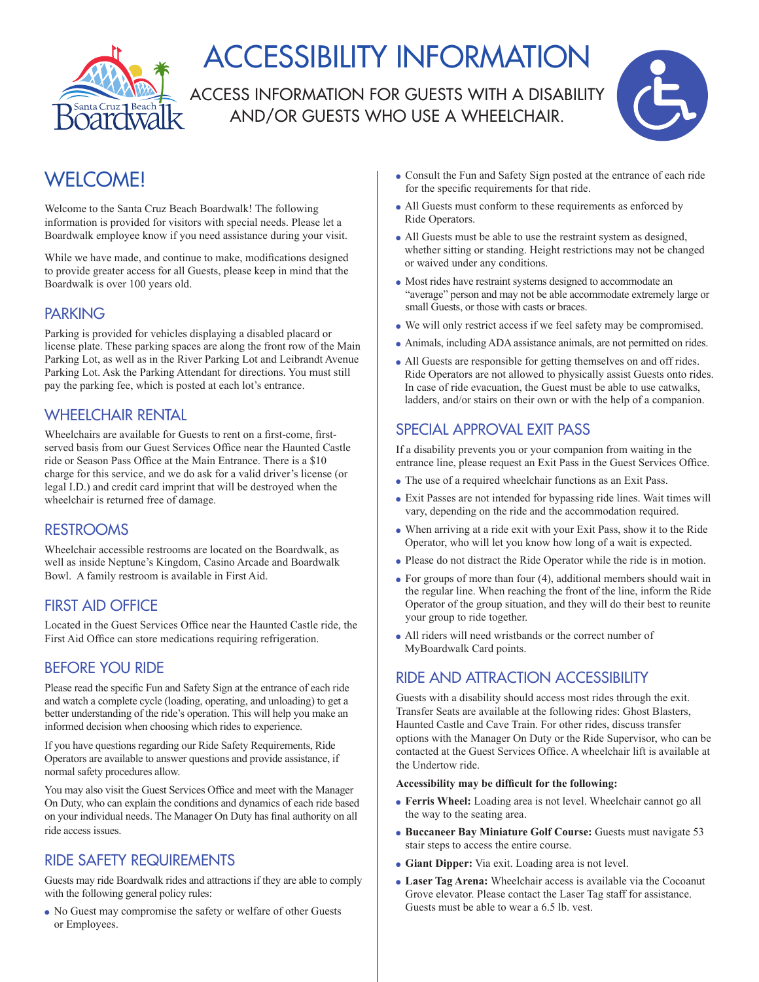

# ACCESSIBILITY INFORMATION

ACCESS INFORMATION FOR GUESTS WITH A DISABILITY AND/OR GUESTS WHO USE A WHEELCHAIR.



# WELCOME!

Welcome to the Santa Cruz Beach Boardwalk! The following information is provided for visitors with special needs. Please let a Boardwalk employee know if you need assistance during your visit.

While we have made, and continue to make, modifications designed to provide greater access for all Guests, please keep in mind that the Boardwalk is over 100 years old.

#### PARKING

Parking is provided for vehicles displaying a disabled placard or license plate. These parking spaces are along the front row of the Main Parking Lot, as well as in the River Parking Lot and Leibrandt Avenue Parking Lot. Ask the Parking Attendant for directions. You must still pay the parking fee, which is posted at each lot's entrance.

# WHEELCHAIR RENTAL

Wheelchairs are available for Guests to rent on a first-come, firstserved basis from our Guest Services Office near the Haunted Castle ride or Season Pass Office at the Main Entrance. There is a \$10 charge for this service, and we do ask for a valid driver's license (or legal I.D.) and credit card imprint that will be destroyed when the wheelchair is returned free of damage.

# RESTROOMS

Wheelchair accessible restrooms are located on the Boardwalk, as well as inside Neptune's Kingdom, Casino Arcade and Boardwalk Bowl. A family restroom is available in First Aid.

# FIRST AID OFFICE

Located in the Guest Services Office near the Haunted Castle ride, the First Aid Office can store medications requiring refrigeration.

# BEFORE YOU RIDE

Please read the specific Fun and Safety Sign at the entrance of each ride and watch a complete cycle (loading, operating, and unloading) to get a better understanding of the ride's operation. This will help you make an informed decision when choosing which rides to experience.

If you have questions regarding our Ride Safety Requirements, Ride Operators are available to answer questions and provide assistance, if normal safety procedures allow.

You may also visit the Guest Services Office and meet with the Manager On Duty, who can explain the conditions and dynamics of each ride based on your individual needs. The Manager On Duty has final authority on all ride access issues.

# RIDE SAFETY REQUIREMENTS

Guests may ride Boardwalk rides and attractions if they are able to comply with the following general policy rules:

 $\bullet$  No Guest may compromise the safety or welfare of other Guests or Employees.

- Consult the Fun and Safety Sign posted at the entrance of each ride for the specific requirements for that ride.
- All Guests must conform to these requirements as enforced by Ride Operators.
- All Guests must be able to use the restraint system as designed, whether sitting or standing. Height restrictions may not be changed or waived under any conditions.
- $\bullet$  Most rides have restraint systems designed to accommodate an "average" person and may not be able accommodate extremely large or small Guests, or those with casts or braces.
- <sup>l</sup>We will only restrict access if we feel safety may be compromised.
- Animals, including ADA assistance animals, are not permitted on rides.
- All Guests are responsible for getting themselves on and off rides. Ride Operators are not allowed to physically assist Guests onto rides. In case of ride evacuation, the Guest must be able to use catwalks, ladders, and/or stairs on their own or with the help of a companion.

# SPECIAL APPROVAL EXIT PASS

If a disability prevents you or your companion from waiting in the entrance line, please request an Exit Pass in the Guest Services Office.

- $\bullet$  The use of a required wheelchair functions as an Exit Pass.
- <sup>l</sup>Exit Passes are not intended for bypassing ride lines. Wait times will vary, depending on the ride and the accommodation required.
- <sup>l</sup>When arriving at a ride exit with your Exit Pass, show it to the Ride Operator, who will let you know how long of a wait is expected.
- $\bullet$  Please do not distract the Ride Operator while the ride is in motion.
- $\bullet$  For groups of more than four (4), additional members should wait in the regular line. When reaching the front of the line, inform the Ride Operator of the group situation, and they will do their best to reunite your group to ride together.
- All riders will need wristbands or the correct number of MyBoardwalk Card points.

# RIDE AND ATTRACTION ACCESSIBILITY

Guests with a disability should access most rides through the exit. Transfer Seats are available at the following rides: Ghost Blasters, Haunted Castle and Cave Train. For other rides, discuss transfer options with the Manager On Duty or the Ride Supervisor, who can be contacted at the Guest Services Office. A wheelchair lift is available at the Undertow ride.

#### **Accessibility may be difficult for the following:**

- <sup>l</sup>**Ferris Wheel:** Loading area is not level. Wheelchair cannot go all the way to the seating area.
- **Buccaneer Bay Miniature Golf Course:** Guests must navigate 53 stair steps to access the entire course.
- <sup>l</sup>**Giant Dipper:** Via exit. Loading area is not level.
- <sup>l</sup>**Laser Tag Arena:** Wheelchair access is available via the Cocoanut Grove elevator. Please contact the Laser Tag staff for assistance. Guests must be able to wear a 6.5 lb. vest.